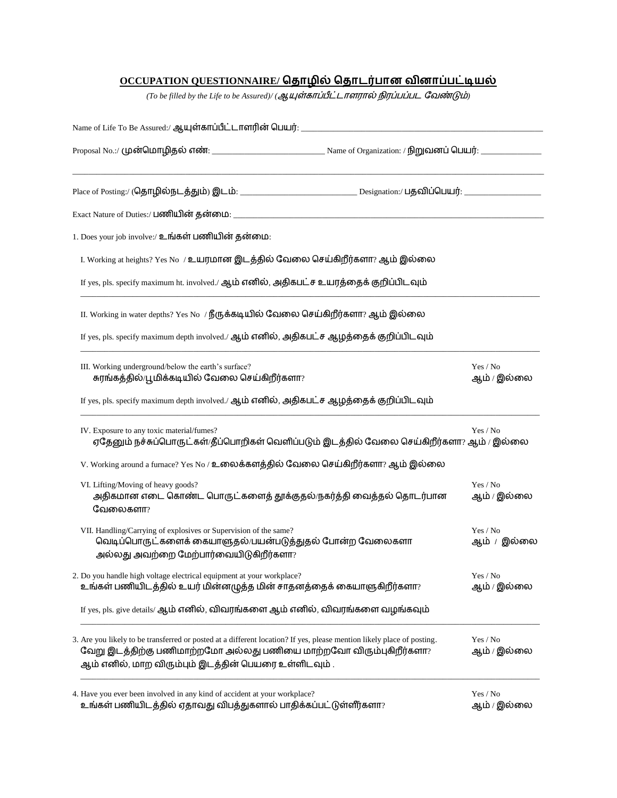# **OCCUPATION QUESTIONNAIRE/**

 $($ To be filled by the Life to be Assured) $/$   $($ ஆயுள்காப்பீட்டாளரால் நிரப்பப்பட வேண்டும்

| 1. Does your job involve:/ உங்கள் பணியின் தன்மை:                                                                                                                                                                                                      |                         |
|-------------------------------------------------------------------------------------------------------------------------------------------------------------------------------------------------------------------------------------------------------|-------------------------|
| I. Working at heights? Yes No /உயரமான இடத்தில் வேலை செய்கிறீர்களா? ஆம் இல்லை                                                                                                                                                                          |                         |
| If yes, pls. specify maximum ht. involved./ ஆம் எனில், அதிகபட்ச உயரத்தைக் குறிப்பிடவும்                                                                                                                                                               |                         |
| II. Working in water depths? Yes No / நீருக்கடியில் வேலை செய்கிறீர்களா? ஆம் இல்லை                                                                                                                                                                     |                         |
| If yes, pls. specify maximum depth involved./ ஆம் எனில், அதிகபட்ச ஆழத்தைக் குறிப்பிடவும்                                                                                                                                                              |                         |
| III. Working underground/below the earth's surface?<br>சுரங்கத்தில்/பூமிக்கடியில் வேலை செய்கிறீர்களா?                                                                                                                                                 | Yes / No<br>ஆம் / இல்லை |
| If yes, pls. specify maximum depth involved./ ஆம் எனில், அதிகபட்ச ஆழத்தைக் குறிப்பிடவும்                                                                                                                                                              |                         |
| IV. Exposure to any toxic material/fumes?<br>ஏதேனும் நச்சுப்பொருட்கள்/தீப்பொறிகள் வெளிப்படும் இடத்தில் வேலை செய்கிறீர்களா? ஆம் / இல்லை                                                                                                                | Yes / No                |
| V. Working around a furnace? Yes No / உலைக்களத்தில் வேலை செய்கிறீர்களா? ஆம் இல்லை                                                                                                                                                                     |                         |
| VI. Lifting/Moving of heavy goods?<br>அதிகமான எடை கொண்ட பொருட்களைத் தூக்குதல்/நகர்த்தி வைத்தல் தொடர்பான<br>வேலைகளா?                                                                                                                                   | Yes / No<br>ஆம் / இல்லை |
| VII. Handling/Carrying of explosives or Supervision of the same?<br>வெடிப்பொருட்களைக் கையாளுதல்/பயன்படுத்துதல் போன்ற வேலைகளா<br>அல்லது அவற்றை மேற்பார்வையிடுகிறீர்களா?                                                                                | Yes / No<br>ஆம் / இல்லை |
| 2. Do you handle high voltage electrical equipment at your workplace?<br>உங்கள் பணியிடத்தில் உயர் மின்னழுத்த மின் சாதனத்தைக் கையாளுகிறீர்களா?                                                                                                         | Yes / No<br>ஆம் / இல்லை |
| If yes, pls. give details/ ஆம் எனில், விவரங்களை ஆம் எனில், விவரங்களை வழங்கவும்                                                                                                                                                                        |                         |
| 3. Are you likely to be transferred or posted at a different location? If yes, please mention likely place of posting.<br>வேறு இடத்திற்கு பணிமாற்றமோ அல்லது பணியை மாற்றவோ விரும்புகிறீர்களா?<br>ஆம் எனில், மாற விரும்பும் இடத்தின் பெயரை உள்ளிடவும் . | Yes / No<br>ஆம் / இல்லை |
| 4. Have you ever been involved in any kind of accident at your workplace?<br>உங்கள் பணியிடத்தில் ஏதாவது விபத்துகளால் பாதிக்கப்பட்டுள்ளீர்களா?                                                                                                         | Yes / No<br>ஆம் / இல்லை |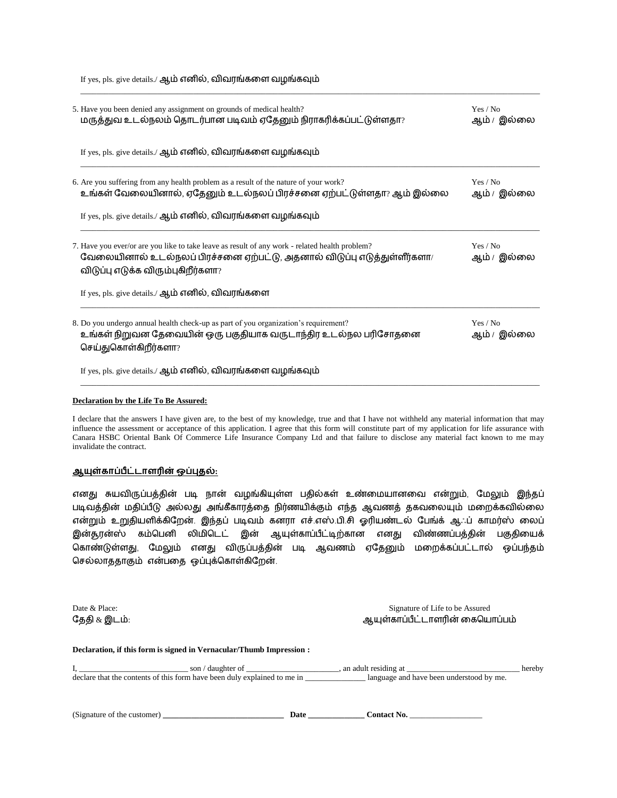If yes, pls. give details./ ஆம் எனில், விவரங்களை வழங்கவும்

| 5. Have you been denied any assignment on grounds of medical health?<br>மருத்துவ உடல்நலம் தொடர்பான படிவம் ஏதேனும் நிராகரிக்கப்பட்டுள்ளதா?                                                                        | Yes / No<br>ஆம் / இல்லை |
|------------------------------------------------------------------------------------------------------------------------------------------------------------------------------------------------------------------|-------------------------|
| If yes, pls. give details./ ஆம் எனில், விவரங்களை வழங்கவும்                                                                                                                                                       |                         |
| 6. Are you suffering from any health problem as a result of the nature of your work?<br>உங்கள் வேலையினால், ஏதேனும் உடல்நலப் பிரச்சனை ஏற்பட்டுள்ளதா? ஆம் இல்லை                                                    | Yes / No<br>ஆம் / இல்லை |
| If yes, pls. give details./ ஆம் எனில், விவரங்களை வழங்கவும்                                                                                                                                                       |                         |
| 7. Have you ever/or are you like to take leave as result of any work - related health problem?<br>வேலையினால் உடல்நலப் பிரச்சனை ஏற்பட்டு, அதனால் விடுப்பு எடுத்துள்ளீர்களா/<br>விடுப்பு எடுக்க விரும்புகிறீர்களா? | Yes / No<br>ஆம் / இல்லை |
| If yes, pls. give details./ ஆம் எனில், விவரங்களை                                                                                                                                                                 |                         |
| 8. Do you undergo annual health check-up as part of you organization's requirement?<br>உங்கள் நிறுவன தேவையின் ஒரு பகுதியாக வருடாந்திர உடல்நல பரிசோதனை<br>செய்துகொள்கிறீர்களா?                                    | Yes / No<br>ஆம் / இல்லை |
| If yes, pls. give details./ ஆம் எனில், விவரங்களை வழங்கவும்                                                                                                                                                       |                         |

\_\_\_\_\_\_\_\_\_\_\_\_\_\_\_\_\_\_\_\_\_\_\_\_\_\_\_\_\_\_\_\_\_\_\_\_\_\_\_\_\_\_\_\_\_\_\_\_\_\_\_\_\_\_\_\_\_\_\_\_\_\_\_\_\_\_\_\_\_\_\_\_\_\_\_\_\_\_\_\_\_\_\_\_\_\_\_\_\_\_\_\_\_\_\_\_\_\_\_\_\_\_\_\_\_\_\_\_\_\_\_\_\_\_

#### **Declaration by the Life To Be Assured:**

I declare that the answers I have given are, to the best of my knowledge, true and that I have not withheld any material information that may influence the assessment or acceptance of this application. I agree that this form will constitute part of my application for life assurance with Canara HSBC Oriental Bank Of Commerce Life Insurance Company Ltd and that failure to disclose any material fact known to me may invalidate the contract.

### <u> ஆயுள்காப்பீட்டாளரின் ஒப்புதல்:</u>

எனது சுயவிருப்பத்தின் படி நான் வழங்கியுள்ள பதில்கள் உண்மையானமவ என்றும், மைலும் இந்தப் படிவத்தின் மதிப்பீடு அல்லது அங்கீகாரத்தை நிர்ணயிக்கும் எந்த ஆவணத் தகவலையும் மறைக்கவில்லை என்றும் உறுதியளிக்கிறேன். இந்தப் படிவம் கனரா எச்.எஸ்.பி.சி ஓரியண்டல் பேங்க் ஆஃப் காமர்ஸ் லைப் இன்சூரன்ஸ் கம்பபனி லிைிபடட் இன் ஆயுள்காப்பீட்டிற்கான எனது விண்ணப்பத்தின் பகுதிமயக் பகாண்டுள்ளது, மைலும் எனது விருப்பத்தின் படி ஆவணம் ஏமதனும் ைமைக்கப்பட்டால் ஒப்பந்தம் செல்லாததாகும் என்பதை ஒப்புக்கொள்கிறேன்.

தேதி & இடம்:

Date & Place: Signature of Life to be Assured ஆயுள்காப்பீட்டாளரின் கையொப்பம்

#### **Declaration, if this form is signed in Vernacular/Thumb Impression :**

I, \_\_\_\_\_\_\_\_\_\_\_\_\_\_\_\_\_\_\_\_\_\_\_\_\_\_\_ son / daughter of \_\_\_\_\_\_\_\_\_\_\_\_\_\_\_\_\_\_\_\_\_\_\_, an adult residing at \_\_\_\_\_\_\_\_\_\_\_\_\_\_\_\_\_\_\_\_\_\_\_\_\_\_\_\_ hereby declare that the contents of this form have been duly explained to me in \_\_\_\_\_\_\_\_\_\_\_\_\_\_\_\_\_\_\_\_ language and have been understood by me.

| (Signature of the customer)<br>Date | .`ontact No. |
|-------------------------------------|--------------|
|-------------------------------------|--------------|